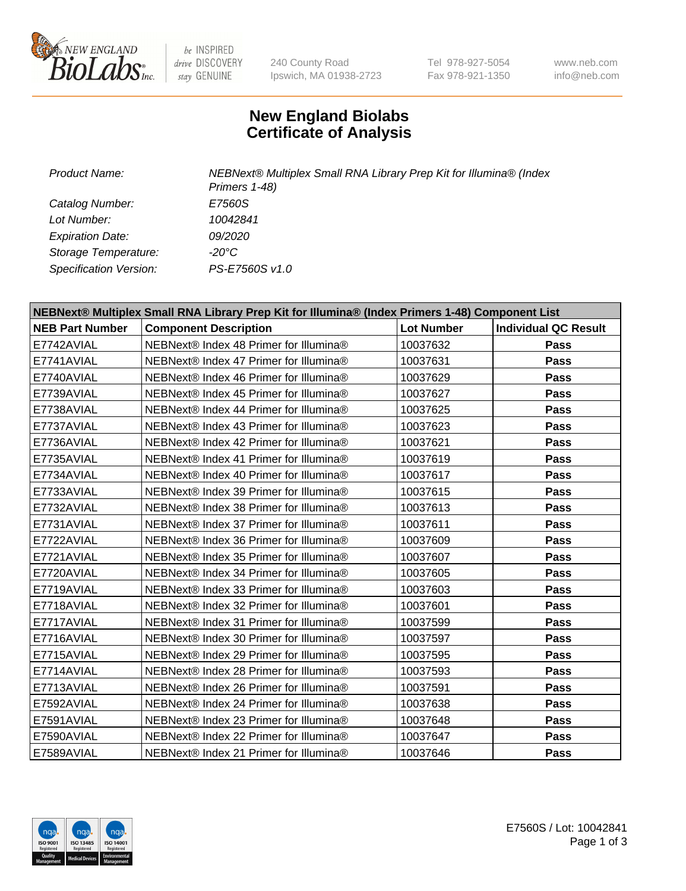

be INSPIRED drive DISCOVERY stay GENUINE

240 County Road Ipswich, MA 01938-2723 Tel 978-927-5054 Fax 978-921-1350

www.neb.com info@neb.com

## **New England Biolabs Certificate of Analysis**

| Product Name:           | NEBNext® Multiplex Small RNA Library Prep Kit for Illumina® (Index<br>Primers 1-48) |
|-------------------------|-------------------------------------------------------------------------------------|
| Catalog Number:         | E7560S                                                                              |
| Lot Number:             | 10042841                                                                            |
| <b>Expiration Date:</b> | <i>09/2020</i>                                                                      |
| Storage Temperature:    | -20°C                                                                               |
| Specification Version:  | PS-E7560S v1.0                                                                      |

| NEBNext® Multiplex Small RNA Library Prep Kit for Illumina® (Index Primers 1-48) Component List |                                        |                   |                             |  |
|-------------------------------------------------------------------------------------------------|----------------------------------------|-------------------|-----------------------------|--|
| <b>NEB Part Number</b>                                                                          | <b>Component Description</b>           | <b>Lot Number</b> | <b>Individual QC Result</b> |  |
| E7742AVIAL                                                                                      | NEBNext® Index 48 Primer for Illumina® | 10037632          | <b>Pass</b>                 |  |
| E7741AVIAL                                                                                      | NEBNext® Index 47 Primer for Illumina® | 10037631          | <b>Pass</b>                 |  |
| E7740AVIAL                                                                                      | NEBNext® Index 46 Primer for Illumina® | 10037629          | <b>Pass</b>                 |  |
| E7739AVIAL                                                                                      | NEBNext® Index 45 Primer for Illumina® | 10037627          | <b>Pass</b>                 |  |
| E7738AVIAL                                                                                      | NEBNext® Index 44 Primer for Illumina® | 10037625          | <b>Pass</b>                 |  |
| E7737AVIAL                                                                                      | NEBNext® Index 43 Primer for Illumina® | 10037623          | <b>Pass</b>                 |  |
| E7736AVIAL                                                                                      | NEBNext® Index 42 Primer for Illumina® | 10037621          | <b>Pass</b>                 |  |
| E7735AVIAL                                                                                      | NEBNext® Index 41 Primer for Illumina® | 10037619          | Pass                        |  |
| E7734AVIAL                                                                                      | NEBNext® Index 40 Primer for Illumina® | 10037617          | <b>Pass</b>                 |  |
| E7733AVIAL                                                                                      | NEBNext® Index 39 Primer for Illumina® | 10037615          | <b>Pass</b>                 |  |
| E7732AVIAL                                                                                      | NEBNext® Index 38 Primer for Illumina® | 10037613          | <b>Pass</b>                 |  |
| E7731AVIAL                                                                                      | NEBNext® Index 37 Primer for Illumina® | 10037611          | Pass                        |  |
| E7722AVIAL                                                                                      | NEBNext® Index 36 Primer for Illumina® | 10037609          | <b>Pass</b>                 |  |
| E7721AVIAL                                                                                      | NEBNext® Index 35 Primer for Illumina® | 10037607          | <b>Pass</b>                 |  |
| E7720AVIAL                                                                                      | NEBNext® Index 34 Primer for Illumina® | 10037605          | <b>Pass</b>                 |  |
| E7719AVIAL                                                                                      | NEBNext® Index 33 Primer for Illumina® | 10037603          | <b>Pass</b>                 |  |
| E7718AVIAL                                                                                      | NEBNext® Index 32 Primer for Illumina® | 10037601          | <b>Pass</b>                 |  |
| E7717AVIAL                                                                                      | NEBNext® Index 31 Primer for Illumina® | 10037599          | <b>Pass</b>                 |  |
| E7716AVIAL                                                                                      | NEBNext® Index 30 Primer for Illumina® | 10037597          | <b>Pass</b>                 |  |
| E7715AVIAL                                                                                      | NEBNext® Index 29 Primer for Illumina® | 10037595          | <b>Pass</b>                 |  |
| E7714AVIAL                                                                                      | NEBNext® Index 28 Primer for Illumina® | 10037593          | <b>Pass</b>                 |  |
| E7713AVIAL                                                                                      | NEBNext® Index 26 Primer for Illumina® | 10037591          | <b>Pass</b>                 |  |
| E7592AVIAL                                                                                      | NEBNext® Index 24 Primer for Illumina® | 10037638          | <b>Pass</b>                 |  |
| E7591AVIAL                                                                                      | NEBNext® Index 23 Primer for Illumina® | 10037648          | <b>Pass</b>                 |  |
| E7590AVIAL                                                                                      | NEBNext® Index 22 Primer for Illumina® | 10037647          | <b>Pass</b>                 |  |
| E7589AVIAL                                                                                      | NEBNext® Index 21 Primer for Illumina® | 10037646          | Pass                        |  |

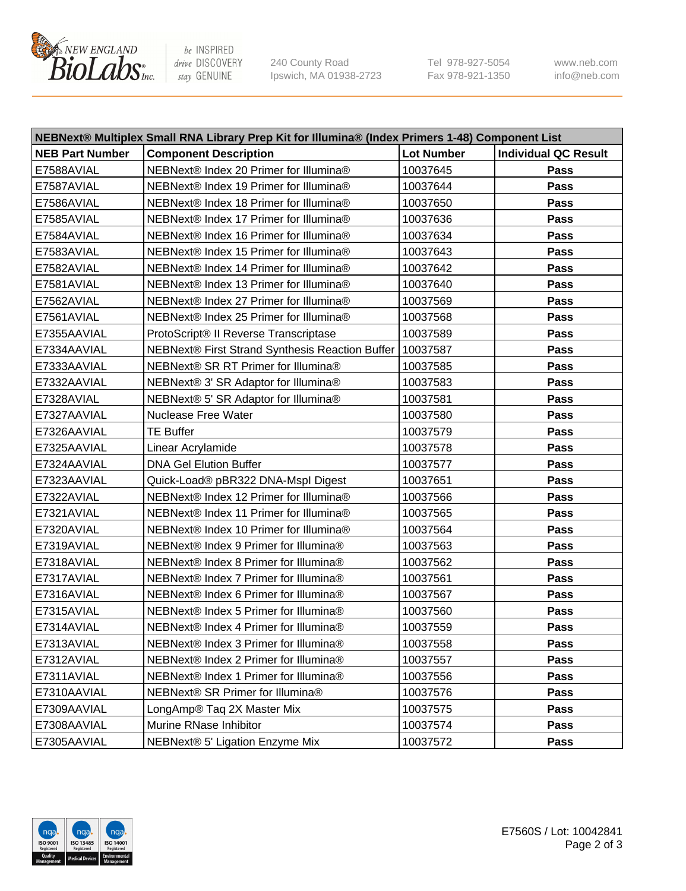

be INSPIRED drive DISCOVERY stay GENUINE

240 County Road Ipswich, MA 01938-2723 Tel 978-927-5054 Fax 978-921-1350 www.neb.com info@neb.com

| NEBNext® Multiplex Small RNA Library Prep Kit for Illumina® (Index Primers 1-48) Component List |                                                            |                   |                             |
|-------------------------------------------------------------------------------------------------|------------------------------------------------------------|-------------------|-----------------------------|
| <b>NEB Part Number</b>                                                                          | <b>Component Description</b>                               | <b>Lot Number</b> | <b>Individual QC Result</b> |
| E7588AVIAL                                                                                      | NEBNext® Index 20 Primer for Illumina®                     | 10037645          | Pass                        |
| E7587AVIAL                                                                                      | NEBNext® Index 19 Primer for Illumina®                     | 10037644          | Pass                        |
| E7586AVIAL                                                                                      | NEBNext® Index 18 Primer for Illumina®                     | 10037650          | Pass                        |
| E7585AVIAL                                                                                      | NEBNext® Index 17 Primer for Illumina®                     | 10037636          | Pass                        |
| E7584AVIAL                                                                                      | NEBNext® Index 16 Primer for Illumina®                     | 10037634          | Pass                        |
| E7583AVIAL                                                                                      | NEBNext® Index 15 Primer for Illumina®                     | 10037643          | Pass                        |
| E7582AVIAL                                                                                      | NEBNext® Index 14 Primer for Illumina®                     | 10037642          | Pass                        |
| E7581AVIAL                                                                                      | NEBNext® Index 13 Primer for Illumina®                     | 10037640          | Pass                        |
| E7562AVIAL                                                                                      | NEBNext® Index 27 Primer for Illumina®                     | 10037569          | Pass                        |
| E7561AVIAL                                                                                      | NEBNext® Index 25 Primer for Illumina®                     | 10037568          | Pass                        |
| E7355AAVIAL                                                                                     | ProtoScript® II Reverse Transcriptase                      | 10037589          | Pass                        |
| E7334AAVIAL                                                                                     | NEBNext® First Strand Synthesis Reaction Buffer   10037587 |                   | Pass                        |
| E7333AAVIAL                                                                                     | NEBNext® SR RT Primer for Illumina®                        | 10037585          | Pass                        |
| E7332AAVIAL                                                                                     | NEBNext® 3' SR Adaptor for Illumina®                       | 10037583          | Pass                        |
| E7328AVIAL                                                                                      | NEBNext® 5' SR Adaptor for Illumina®                       | 10037581          | Pass                        |
| E7327AAVIAL                                                                                     | <b>Nuclease Free Water</b>                                 | 10037580          | Pass                        |
| E7326AAVIAL                                                                                     | <b>TE Buffer</b>                                           | 10037579          | Pass                        |
| E7325AAVIAL                                                                                     | Linear Acrylamide                                          | 10037578          | Pass                        |
| E7324AAVIAL                                                                                     | <b>DNA Gel Elution Buffer</b>                              | 10037577          | Pass                        |
| E7323AAVIAL                                                                                     | Quick-Load® pBR322 DNA-Mspl Digest                         | 10037651          | Pass                        |
| E7322AVIAL                                                                                      | NEBNext® Index 12 Primer for Illumina®                     | 10037566          | Pass                        |
| E7321AVIAL                                                                                      | NEBNext® Index 11 Primer for Illumina®                     | 10037565          | Pass                        |
| E7320AVIAL                                                                                      | NEBNext® Index 10 Primer for Illumina®                     | 10037564          | Pass                        |
| E7319AVIAL                                                                                      | NEBNext® Index 9 Primer for Illumina®                      | 10037563          | Pass                        |
| E7318AVIAL                                                                                      | NEBNext® Index 8 Primer for Illumina®                      | 10037562          | Pass                        |
| E7317AVIAL                                                                                      | NEBNext® Index 7 Primer for Illumina®                      | 10037561          | Pass                        |
| E7316AVIAL                                                                                      | NEBNext® Index 6 Primer for Illumina®                      | 10037567          | Pass                        |
| E7315AVIAL                                                                                      | NEBNext® Index 5 Primer for Illumina®                      | 10037560          | Pass                        |
| E7314AVIAL                                                                                      | NEBNext® Index 4 Primer for Illumina®                      | 10037559          | <b>Pass</b>                 |
| E7313AVIAL                                                                                      | NEBNext® Index 3 Primer for Illumina®                      | 10037558          | Pass                        |
| E7312AVIAL                                                                                      | NEBNext® Index 2 Primer for Illumina®                      | 10037557          | <b>Pass</b>                 |
| E7311AVIAL                                                                                      | NEBNext® Index 1 Primer for Illumina®                      | 10037556          | Pass                        |
| E7310AAVIAL                                                                                     | NEBNext® SR Primer for Illumina®                           | 10037576          | Pass                        |
| E7309AAVIAL                                                                                     | LongAmp® Taq 2X Master Mix                                 | 10037575          | Pass                        |
| E7308AAVIAL                                                                                     | Murine RNase Inhibitor                                     | 10037574          | Pass                        |
| E7305AAVIAL                                                                                     | NEBNext® 5' Ligation Enzyme Mix                            | 10037572          | Pass                        |